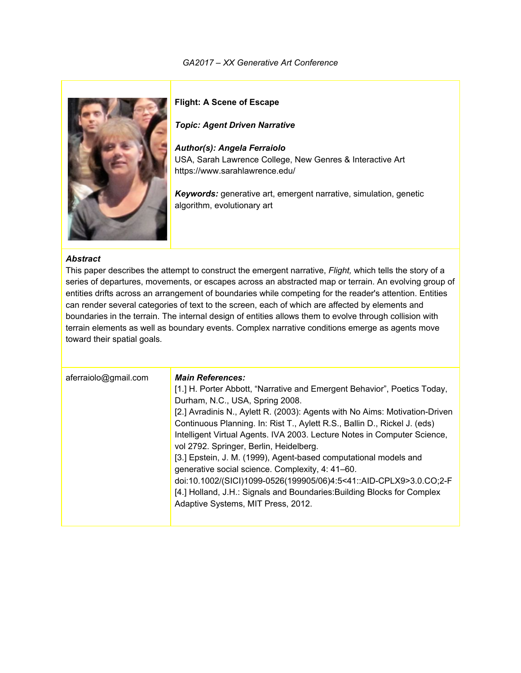

**Flight: A Scene of Escape**

*Topic: Agent Driven Narrative*

*Author(s): Angela Ferraiolo* USA, Sarah Lawrence College, New Genres & Interactive Art https://www.sarahlawrence.edu/

*Keywords:* generative art, emergent narrative, simulation, genetic algorithm, evolutionary art

#### *Abstract*

This paper describes the attempt to construct the emergent narrative, *Flight,* which tells the story of a series of departures, movements, or escapes across an abstracted map or terrain. An evolving group of entities drifts across an arrangement of boundaries while competing for the reader's attention. Entities can render several categories of text to the screen, each of which are affected by elements and boundaries in the terrain. The internal design of entities allows them to evolve through collision with terrain elements as well as boundary events. Complex narrative conditions emerge as agents move toward their spatial goals.

| aferraiolo@gmail.com | <b>Main References:</b><br>[1.] H. Porter Abbott, "Narrative and Emergent Behavior", Poetics Today,<br>Durham, N.C., USA, Spring 2008.<br>[2.] Avradinis N., Aylett R. (2003): Agents with No Aims: Motivation-Driven<br>Continuous Planning. In: Rist T., Aylett R.S., Ballin D., Rickel J. (eds)<br>Intelligent Virtual Agents. IVA 2003. Lecture Notes in Computer Science,<br>vol 2792. Springer, Berlin, Heidelberg.<br>[3.] Epstein, J. M. (1999), Agent-based computational models and<br>generative social science. Complexity, 4: 41-60.<br>doi:10.1002/(SICI)1099-0526(199905/06)4:5<41::AID-CPLX9>3.0.CO;2-F<br>[4.] Holland, J.H.: Signals and Boundaries: Building Blocks for Complex<br>Adaptive Systems, MIT Press, 2012. |
|----------------------|------------------------------------------------------------------------------------------------------------------------------------------------------------------------------------------------------------------------------------------------------------------------------------------------------------------------------------------------------------------------------------------------------------------------------------------------------------------------------------------------------------------------------------------------------------------------------------------------------------------------------------------------------------------------------------------------------------------------------------------|
|                      |                                                                                                                                                                                                                                                                                                                                                                                                                                                                                                                                                                                                                                                                                                                                          |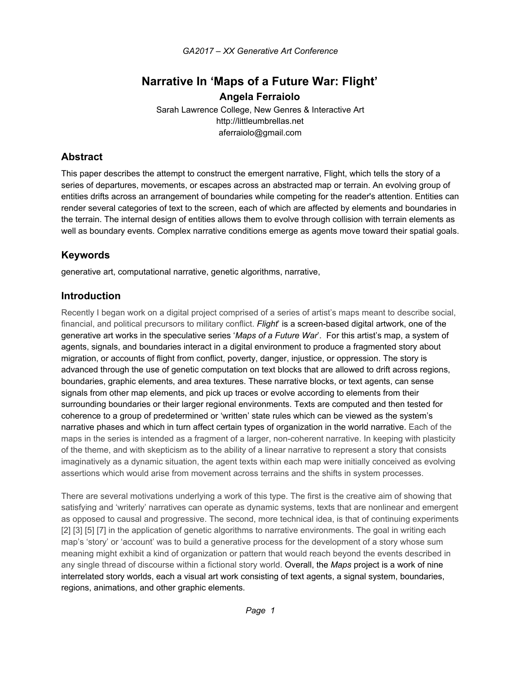# **Narrative In 'Maps of a Future War: Flight' Angela Ferraiolo**

Sarah Lawrence College, New Genres & Interactive Art http://littleumbrellas.net aferraiolo@gmail.com

## **Abstract**

This paper describes the attempt to construct the emergent narrative, Flight, which tells the story of a series of departures, movements, or escapes across an abstracted map or terrain. An evolving group of entities drifts across an arrangement of boundaries while competing for the reader's attention. Entities can render several categories of text to the screen, each of which are affected by elements and boundaries in the terrain. The internal design of entities allows them to evolve through collision with terrain elements as well as boundary events. Complex narrative conditions emerge as agents move toward their spatial goals.

## **Keywords**

generative art, computational narrative, genetic algorithms, narrative,

## **Introduction**

Recently I began work on a digital project comprised of a series of artist's maps meant to describe social, financial, and political precursors to military conflict. *Flight*' is a screen-based digital artwork, one of the generative art works in the speculative series '*Maps of a Future War*'. For this artist's map, a system of agents, signals, and boundaries interact in a digital environment to produce a fragmented story about migration, or accounts of flight from conflict, poverty, danger, injustice, or oppression. The story is advanced through the use of genetic computation on text blocks that are allowed to drift across regions, boundaries, graphic elements, and area textures. These narrative blocks, or text agents, can sense signals from other map elements, and pick up traces or evolve according to elements from their surrounding boundaries or their larger regional environments. Texts are computed and then tested for coherence to a group of predetermined or 'written' state rules which can be viewed as the system's narrative phases and which in turn affect certain types of organization in the world narrative. Each of the maps in the series is intended as a fragment of a larger, non-coherent narrative. In keeping with plasticity of the theme, and with skepticism as to the ability of a linear narrative to represent a story that consists imaginatively as a dynamic situation, the agent texts within each map were initially conceived as evolving assertions which would arise from movement across terrains and the shifts in system processes.

There are several motivations underlying a work of this type. The first is the creative aim of showing that satisfying and 'writerly' narratives can operate as dynamic systems, texts that are nonlinear and emergent as opposed to causal and progressive. The second, more technical idea, is that of continuing experiments [2] [3] [5] [7] in the application of genetic algorithms to narrative environments. The goal in writing each map's 'story' or 'account' was to build a generative process for the development of a story whose sum meaning might exhibit a kind of organization or pattern that would reach beyond the events described in any single thread of discourse within a fictional story world. Overall, the *Maps* project is a work of nine interrelated story worlds, each a visual art work consisting of text agents, a signal system, boundaries, regions, animations, and other graphic elements.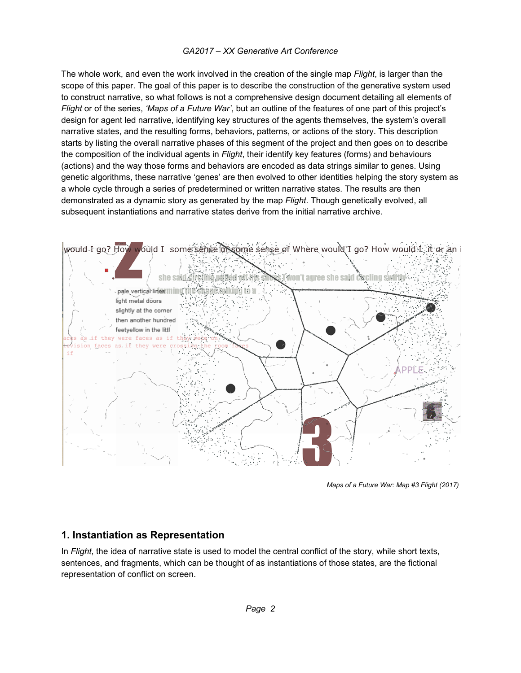The whole work, and even the work involved in the creation of the single map *Flight*, is larger than the scope of this paper. The goal of this paper is to describe the construction of the generative system used to construct narrative, so what follows is not a comprehensive design document detailing all elements of *Flight* or of the series, *'Maps of a Future War'*, but an outline of the features of one part of this project's design for agent led narrative, identifying key structures of the agents themselves, the system's overall narrative states, and the resulting forms, behaviors, patterns, or actions of the story. This description starts by listing the overall narrative phases of this segment of the project and then goes on to describe the composition of the individual agents in *Flight*, their identify key features (forms) and behaviours (actions) and the way those forms and behaviors are encoded as data strings similar to genes. Using genetic algorithms, these narrative 'genes' are then evolved to other identities helping the story system as a whole cycle through a series of predetermined or written narrative states. The results are then demonstrated as a dynamic story as generated by the map *Flight*. Though genetically evolved, all subsequent instantiations and narrative states derive from the initial narrative archive.



*Maps of a Future War: Map #3 Flight (2017)*

## **1. Instantiation as Representation**

In *Flight*, the idea of narrative state is used to model the central conflict of the story, while short texts, sentences, and fragments, which can be thought of as instantiations of those states, are the fictional representation of conflict on screen.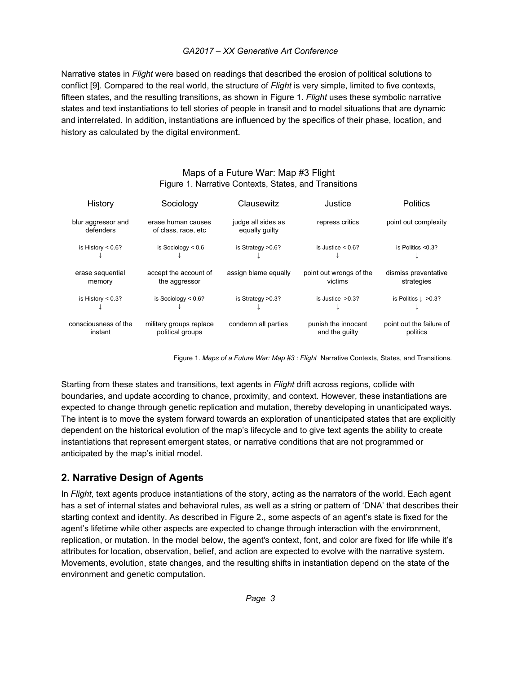Narrative states in *Flight* were based on readings that described the erosion of political solutions to conflict [9]. Compared to the real world, the structure of *Flight* is very simple, limited to five contexts, fifteen states, and the resulting transitions, as shown in Figure 1. *Flight* uses these symbolic narrative states and text instantiations to tell stories of people in transit and to model situations that are dynamic and interrelated. In addition, instantiations are influenced by the specifics of their phase, location, and history as calculated by the digital environment.

## Maps of a Future War: Map #3 Flight Figure 1. Narrative Contexts, States, and Transitions

| History                         | Sociology                                   | Clausewitz                           | Justice                               | <b>Politics</b>                      |
|---------------------------------|---------------------------------------------|--------------------------------------|---------------------------------------|--------------------------------------|
| blur aggressor and<br>defenders | erase human causes<br>of class, race, etc   | judge all sides as<br>equally quilty | repress critics                       | point out complexity                 |
| is History $< 0.6$ ?            | is Sociology $< 0.6$                        | is Strategy > 0.6?                   | is Justice $\leq 0.6$ ?               | is Politics $< 0.3$ ?                |
| erase sequential<br>memory      | accept the account of<br>the aggressor      | assign blame equally                 | point out wrongs of the<br>victims    | dismiss preventative<br>strategies   |
| is History $< 0.3$ ?            | is Sociology $< 0.6$ ?                      | is Strategy $>0.3$ ?                 | is Justice $>0.3$ ?                   | is Politics $\perp$ >0.3?            |
| consciousness of the<br>instant | military groups replace<br>political groups | condemn all parties                  | punish the innocent<br>and the quilty | point out the failure of<br>politics |

Figure 1. *Maps of a Future War: Map #3 : Flight* Narrative Contexts, States, and Transitions.

Starting from these states and transitions, text agents in *Flight* drift across regions, collide with boundaries, and update according to chance, proximity, and context. However, these instantiations are expected to change through genetic replication and mutation, thereby developing in unanticipated ways. The intent is to move the system forward towards an exploration of unanticipated states that are explicitly dependent on the historical evolution of the map's lifecycle and to give text agents the ability to create instantiations that represent emergent states, or narrative conditions that are not programmed or anticipated by the map's initial model.

## **2. Narrative Design of Agents**

In *Flight*, text agents produce instantiations of the story, acting as the narrators of the world. Each agent has a set of internal states and behavioral rules, as well as a string or pattern of 'DNA' that describes their starting context and identity. As described in Figure 2., some aspects of an agent's state is fixed for the agent's lifetime while other aspects are expected to change through interaction with the environment, replication, or mutation. In the model below, the agent's context, font, and color are fixed for life while it's attributes for location, observation, belief, and action are expected to evolve with the narrative system. Movements, evolution, state changes, and the resulting shifts in instantiation depend on the state of the environment and genetic computation.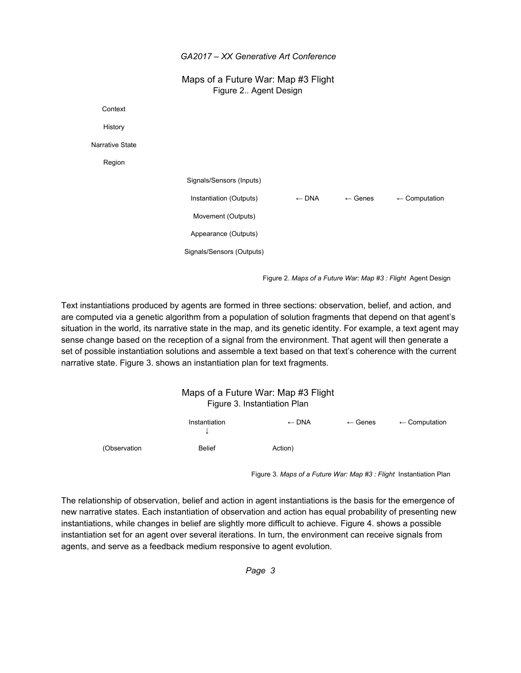Maps of a Future War: Map #3 Flight Figure 2.. Agent Design

**Context** History Narrative State Region Signals/Sensors (Inputs) Instantiation (Outputs)  $\leftarrow$  DNA  $\leftarrow$  Genes  $\leftarrow$  Computation Movement (Outputs) Appearance (Outputs) Signals/Sensors (Outputs)

Figure 2. *Maps of a Future War: Map #3 : Flight* Agent Design

Text instantiations produced by agents are formed in three sections: observation, belief, and action, and are computed via a genetic algorithm from a population of solution fragments that depend on that agent's situation in the world, its narrative state in the map, and its genetic identity. For example, a text agent may sense change based on the reception of a signal from the environment. That agent will then generate a set of possible instantiation solutions and assemble a text based on that text's coherence with the current narrative state. Figure 3. shows an instantiation plan for text fragments.

|              |                    | Maps of a Future War: Map #3 Flight<br>Figure 3. Instantiation Plan |                    |                          |
|--------------|--------------------|---------------------------------------------------------------------|--------------------|--------------------------|
|              | Instantiation<br>↓ | $\leftarrow$ DNA                                                    | $\leftarrow$ Genes | $\leftarrow$ Computation |
| (Observation | <b>Belief</b>      | Action)                                                             |                    |                          |

Figure 3. *Maps of a Future War: Map #3 : Flight* Instantiation Plan

The relationship of observation, belief and action in agent instantiations is the basis for the emergence of new narrative states. Each instantiation of observation and action has equal probability of presenting new instantiations, while changes in belief are slightly more difficult to achieve. Figure 4. shows a possible instantiation set for an agent over several iterations. In turn, the environment can receive signals from agents, and serve as a feedback medium responsive to agent evolution.

*Page 3*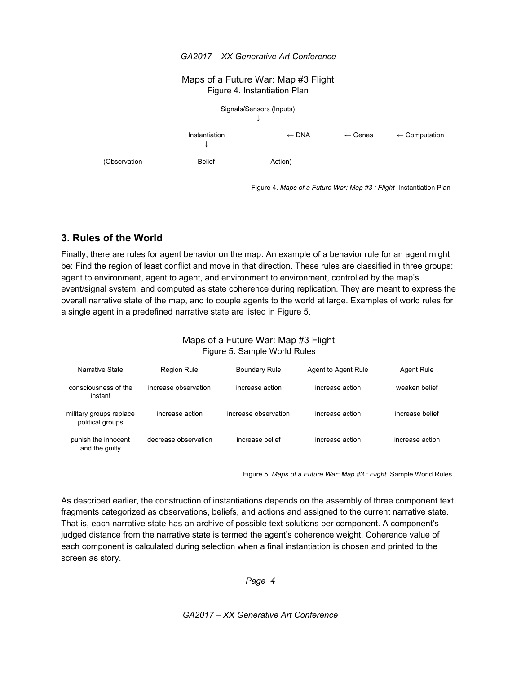#### Maps of a Future War: Map #3 Flight Figure 4. Instantiation Plan



Figure 4. *Maps of a Future War: Map #3 : Flight* Instantiation Plan

## **3. Rules of the World**

Finally, there are rules for agent behavior on the map. An example of a behavior rule for an agent might be: Find the region of least conflict and move in that direction. These rules are classified in three groups: agent to environment, agent to agent, and environment to environment, controlled by the map's event/signal system, and computed as state coherence during replication. They are meant to express the overall narrative state of the map, and to couple agents to the world at large. Examples of world rules for a single agent in a predefined narrative state are listed in Figure 5.

## Maps of a Future War: Map #3 Flight Figure 5. Sample World Rules

| Narrative State                             | <b>Region Rule</b>   | <b>Boundary Rule</b> | Agent to Agent Rule | Agent Rule      |
|---------------------------------------------|----------------------|----------------------|---------------------|-----------------|
| consciousness of the<br>instant             | increase observation | increase action      | increase action     | weaken belief   |
| military groups replace<br>political groups | increase action      | increase observation | increase action     | increase belief |
| punish the innocent<br>and the quilty       | decrease observation | increase belief      | increase action     | increase action |

Figure 5. *Maps of a Future War: Map #3 : Flight* Sample World Rules

As described earlier, the construction of instantiations depends on the assembly of three component text fragments categorized as observations, beliefs, and actions and assigned to the current narrative state. That is, each narrative state has an archive of possible text solutions per component. A component's judged distance from the narrative state is termed the agent's coherence weight. Coherence value of each component is calculated during selection when a final instantiation is chosen and printed to the screen as story.

*Page 4*

*GA2017 – XX Generative Art Conference*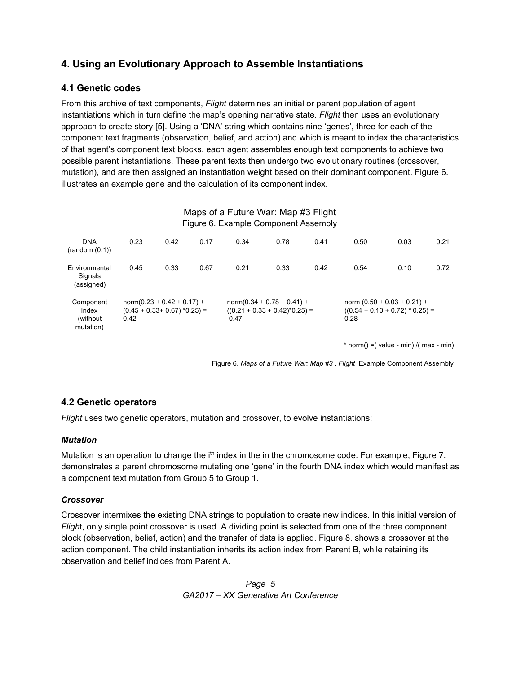## **4. Using an Evolutionary Approach to Assemble Instantiations**

## **4.1 Genetic codes**

From this archive of text components, *Flight* determines an initial or parent population of agent instantiations which in turn define the map's opening narrative state. *Flight* then uses an evolutionary approach to create story [5]. Using a 'DNA' string which contains nine 'genes', three for each of the component text fragments (observation, belief, and action) and which is meant to index the characteristics of that agent's component text blocks, each agent assembles enough text components to achieve two possible parent instantiations. These parent texts then undergo two evolutionary routines (crossover, mutation), and are then assigned an instantiation weight based on their dominant component. Figure 6. illustrates an example gene and the calculation of its component index.

| Maps of a Future War: Map #3 Flight<br>Figure 6. Example Component Assembly |      |                                                                 |      |      |                                                                  |      |      |                                                                    |      |
|-----------------------------------------------------------------------------|------|-----------------------------------------------------------------|------|------|------------------------------------------------------------------|------|------|--------------------------------------------------------------------|------|
| <b>DNA</b><br>(random(0,1))                                                 | 0.23 | 0.42                                                            | 0.17 | 0.34 | 0.78                                                             | 0.41 | 0.50 | 0.03                                                               | 0.21 |
| Environmental<br>Signals<br>(assigned)                                      | 0.45 | 0.33                                                            | 0.67 | 0.21 | 0.33                                                             | 0.42 | 0.54 | 0.10                                                               | 0.72 |
| Component<br>Index<br>(without)<br>mutation)                                | 0.42 | $norm(0.23 + 0.42 + 0.17) +$<br>$(0.45 + 0.33 + 0.67)$ *0.25) = |      | 0.47 | $norm(0.34 + 0.78 + 0.41) +$<br>$((0.21 + 0.33 + 0.42)^*0.25) =$ |      | 0.28 | norm $(0.50 + 0.03 + 0.21) +$<br>$((0.54 + 0.10 + 0.72) * 0.25) =$ |      |

 $* norm() = ( value - min) / ( max - min)$ 

Figure 6. *Maps of a Future War: Map #3 : Flight* Example Component Assembly

## **4.2 Genetic operators**

*Flight* uses two genetic operators, mutation and crossover, to evolve instantiations:

## *Mutation*

Mutation is an operation to change the i<sup>th</sup> index in the in the chromosome code. For example, Figure 7. demonstrates a parent chromosome mutating one 'gene' in the fourth DNA index which would manifest as a component text mutation from Group 5 to Group 1.

#### *Crossover*

Crossover intermixes the existing DNA strings to population to create new indices. In this initial version of *Fligh*t, only single point crossover is used. A dividing point is selected from one of the three component block (observation, belief, action) and the transfer of data is applied. Figure 8. shows a crossover at the action component. The child instantiation inherits its action index from Parent B, while retaining its observation and belief indices from Parent A.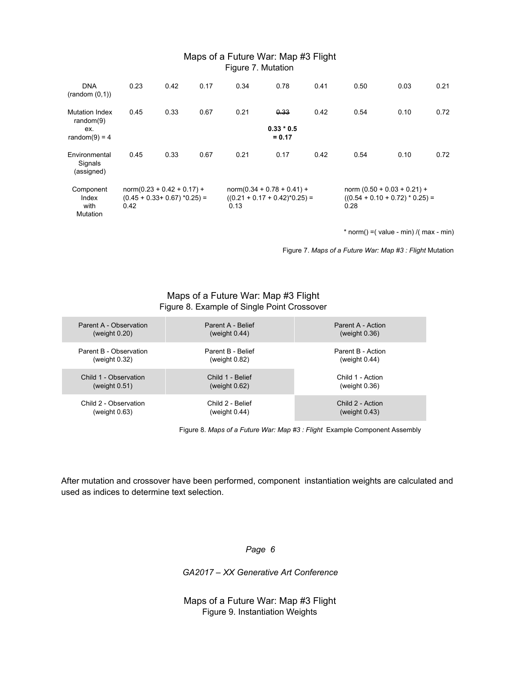#### Maps of a Future War: Map #3 Flight Figure 7. Mutation

| <b>DNA</b><br>(random(0,1))                                     | 0.23 | 0.42                                                            | 0.17 | 0.34 | 0.78                                                             | 0.41 | 0.50 | 0.03                                                               | 0.21 |
|-----------------------------------------------------------------|------|-----------------------------------------------------------------|------|------|------------------------------------------------------------------|------|------|--------------------------------------------------------------------|------|
| <b>Mutation Index</b><br>random $(9)$<br>ex.<br>random(9) = $4$ | 0.45 | 0.33                                                            | 0.67 | 0.21 | 0.33<br>$0.33 * 0.5$<br>$= 0.17$                                 | 0.42 | 0.54 | 0.10                                                               | 0.72 |
| Environmental<br>Signals<br>(assigned)                          | 0.45 | 0.33                                                            | 0.67 | 0.21 | 0.17                                                             | 0.42 | 0.54 | 0.10                                                               | 0.72 |
| Component<br>Index<br>with<br>Mutation                          | 0.42 | $norm(0.23 + 0.42 + 0.17) +$<br>$(0.45 + 0.33 + 0.67)$ *0.25) = |      | 0.13 | $norm(0.34 + 0.78 + 0.41) +$<br>$((0.21 + 0.17 + 0.42)^*0.25) =$ |      | 0.28 | norm $(0.50 + 0.03 + 0.21) +$<br>$((0.54 + 0.10 + 0.72) * 0.25) =$ |      |

 $* norm() = ( value - min) / ( max - min)$ 

Figure 7. *Maps of a Future War: Map #3 : Flight* Mutation

#### Maps of a Future War: Map #3 Flight Figure 8. Example of Single Point Crossover

| Parent A - Observation | Parent A - Belief | Parent A - Action |
|------------------------|-------------------|-------------------|
| (weight $0.20$ )       | (weight $0.44$ )  | (weight $0.36$ )  |
| Parent B - Observation | Parent B - Belief | Parent B - Action |
| (weight $0.32$ )       | (weight 0.82)     | (weight $0.44$ )  |
| Child 1 - Observation  | Child 1 - Belief  | Child 1 - Action  |
| (weight $0.51$ )       | (weight $0.62$ )  | (weight $0.36$ )  |
| Child 2 - Observation  | Child 2 - Belief  | Child 2 - Action  |
| (weight 0.63)          | (weight $0.44$ )  | (weight $0.43$ )  |

Figure 8. *Maps of a Future War: Map #3 : Flight* Example Component Assembly

After mutation and crossover have been performed, component instantiation weights are calculated and used as indices to determine text selection.

*Page 6*

*GA2017 – XX Generative Art Conference*

Maps of a Future War: Map #3 Flight Figure 9. Instantiation Weights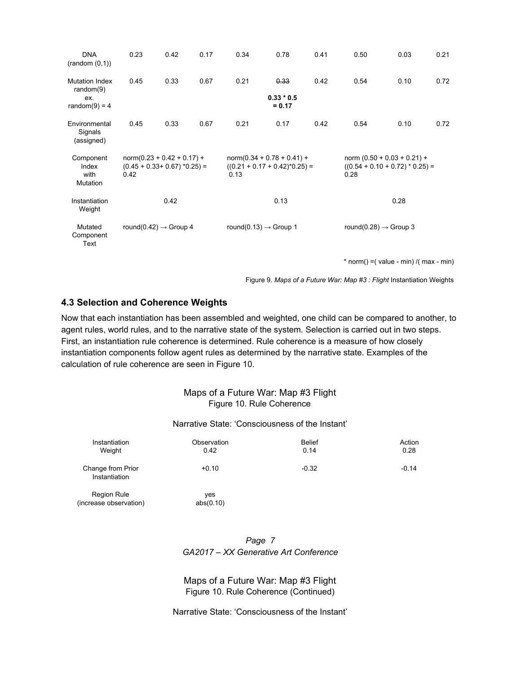| <b>DNA</b><br>(random(0,1))                                     | 0.23                                                                    | 0.42 | 0.17                                                                     | 0.34                              | 0.78                             | 0.41                                                               | 0.50 | 0.03                                        | 0.21 |
|-----------------------------------------------------------------|-------------------------------------------------------------------------|------|--------------------------------------------------------------------------|-----------------------------------|----------------------------------|--------------------------------------------------------------------|------|---------------------------------------------|------|
| <b>Mutation Index</b><br>random $(9)$<br>ex.<br>random(9) = $4$ | 0.45                                                                    | 0.33 | 0.67                                                                     | 0.21                              | 0.33<br>$0.33 * 0.5$<br>$= 0.17$ | 0.42                                                               | 0.54 | 0.10                                        | 0.72 |
| Environmental<br>Signals<br>(assigned)                          | 0.45                                                                    | 0.33 | 0.67                                                                     | 0.21                              | 0.17                             | 0.42                                                               | 0.54 | 0.10                                        | 0.72 |
| Component<br>Index<br>with<br>Mutation                          | $norm(0.23 + 0.42 + 0.17) +$<br>$(0.45 + 0.33 + 0.67)$ *0.25) =<br>0.42 |      | $norm(0.34 + 0.78 + 0.41) +$<br>$((0.21 + 0.17 + 0.42)^*0.25) =$<br>0.13 |                                   | 0.28                             | norm $(0.50 + 0.03 + 0.21) +$<br>$((0.54 + 0.10 + 0.72) * 0.25) =$ |      |                                             |      |
| Instantiation<br>Weight                                         | 0.42                                                                    |      | 0.13                                                                     |                                   |                                  |                                                                    | 0.28 |                                             |      |
| Mutated<br>Component<br>Text                                    | round(0.42) $\rightarrow$ Group 4                                       |      |                                                                          | round(0.13) $\rightarrow$ Group 1 |                                  | round(0.28) $\rightarrow$ Group 3                                  |      |                                             |      |
|                                                                 |                                                                         |      |                                                                          |                                   |                                  |                                                                    |      | * norm() = $($ value - min) $/$ (max - min) |      |

Figure 9. *Maps of a Future War: Map #3 : Flight* Instantiation Weights

#### **4.3 Selection and Coherence Weights**

Now that each instantiation has been assembled and weighted, one child can be compared to another, to agent rules, world rules, and to the narrative state of the system. Selection is carried out in two steps. First, an instantiation rule coherence is determined. Rule coherence is a measure of how closely instantiation components follow agent rules as determined by the narrative state. Examples of the calculation of rule coherence are seen in Figure 10.

|                                              | Narrative State: 'Consciousness of the Instant' |                       |                |  |  |  |
|----------------------------------------------|-------------------------------------------------|-----------------------|----------------|--|--|--|
| Instantiation<br>Weight                      | Observation<br>0.42                             | <b>Belief</b><br>0.14 | Action<br>0.28 |  |  |  |
| Change from Prior<br>Instantiation           | $+0.10$                                         | $-0.32$               | $-0.14$        |  |  |  |
| <b>Region Rule</b><br>(increase observation) | yes<br>abs(0.10)                                |                       |                |  |  |  |

| Page 7                                |
|---------------------------------------|
| GA2017 – XX Generative Art Conference |

Maps of a Future War: Map #3 Flight Figure 10. Rule Coherence (Continued)

Narrative State: 'Consciousness of the Instant'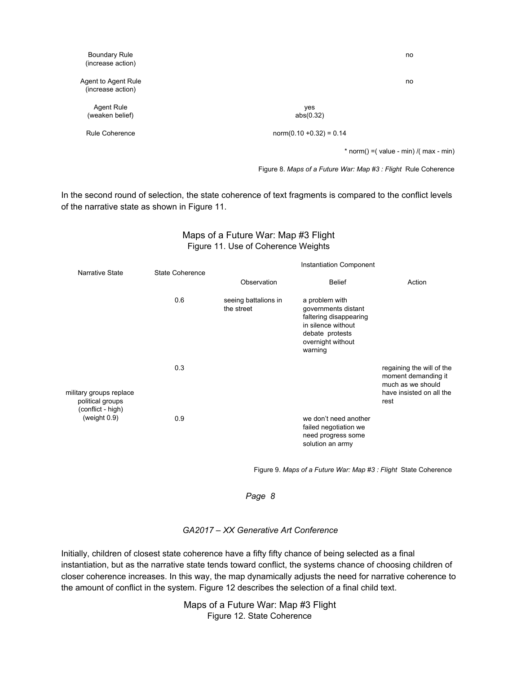| <b>Boundary Rule</b><br>(increase action) |                            | no                                           |
|-------------------------------------------|----------------------------|----------------------------------------------|
| Agent to Agent Rule<br>(increase action)  |                            | no                                           |
| Agent Rule<br>(weaken belief)             | yes<br>abs(0.32)           |                                              |
| Rule Coherence                            | $norm(0.10 + 0.32) = 0.14$ |                                              |
|                                           |                            | * norm() = $($ value - min) / $($ max - min) |

Figure 8. *Maps of a Future War: Map #3 : Flight* Rule Coherence

In the second round of selection, the state coherence of text fragments is compared to the conflict levels of the narrative state as shown in Figure 11.

## Maps of a Future War: Map #3 Flight Figure 11. Use of Coherence Weights

| Narrative State                             | State Coherence | <b>Instantiation Component</b>     |                                                                                                                                          |                                                                                                           |  |  |
|---------------------------------------------|-----------------|------------------------------------|------------------------------------------------------------------------------------------------------------------------------------------|-----------------------------------------------------------------------------------------------------------|--|--|
|                                             |                 | Observation                        | <b>Belief</b>                                                                                                                            | Action                                                                                                    |  |  |
|                                             | 0.6             | seeing battalions in<br>the street | a problem with<br>governments distant<br>faltering disappearing<br>in silence without<br>debate protests<br>overnight without<br>warning |                                                                                                           |  |  |
| military groups replace<br>political groups | 0.3             |                                    |                                                                                                                                          | regaining the will of the<br>moment demanding it<br>much as we should<br>have insisted on all the<br>rest |  |  |
| (conflict - high)<br>(weight $0.9$ )        | 0.9             |                                    | we don't need another<br>failed negotiation we<br>need progress some<br>solution an army                                                 |                                                                                                           |  |  |

Figure 9. *Maps of a Future War: Map #3 : Flight* State Coherence

*Page 8*

#### *GA2017 – XX Generative Art Conference*

Initially, children of closest state coherence have a fifty fifty chance of being selected as a final instantiation, but as the narrative state tends toward conflict, the systems chance of choosing children of closer coherence increases. In this way, the map dynamically adjusts the need for narrative coherence to the amount of conflict in the system. Figure 12 describes the selection of a final child text.

> Maps of a Future War: Map #3 Flight Figure 12. State Coherence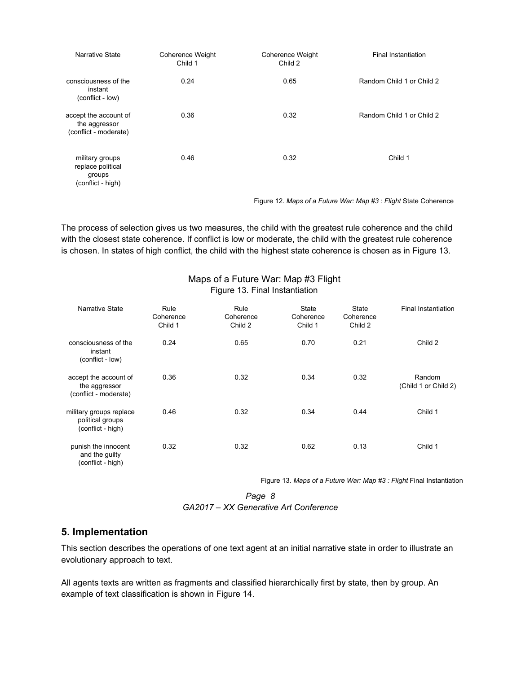| Narrative State                                                     | Coherence Weight<br>Child 1 | <b>Coherence Weight</b><br>Child 2 | <b>Final Instantiation</b> |
|---------------------------------------------------------------------|-----------------------------|------------------------------------|----------------------------|
| consciousness of the<br>instant<br>(conflict - low)                 | 0.24                        | 0.65                               | Random Child 1 or Child 2  |
| accept the account of<br>the aggressor<br>(conflict - moderate)     | 0.36                        | 0.32                               | Random Child 1 or Child 2  |
| military groups<br>replace political<br>groups<br>(conflict - high) | 0.46                        | 0.32                               | Child 1                    |

Figure 12. *Maps of a Future War: Map #3 : Flight* State Coherence

The process of selection gives us two measures, the child with the greatest rule coherence and the child with the closest state coherence. If conflict is low or moderate, the child with the greatest rule coherence is chosen. In states of high conflict, the child with the highest state coherence is chosen as in Figure 13.

| Figure 13. Final Instantiation                                   |                              |                              |                                      |                               |                                |  |
|------------------------------------------------------------------|------------------------------|------------------------------|--------------------------------------|-------------------------------|--------------------------------|--|
| <b>Narrative State</b>                                           | Rule<br>Coherence<br>Child 1 | Rule<br>Coherence<br>Child 2 | <b>State</b><br>Coherence<br>Child 1 | State<br>Coherence<br>Child 2 | <b>Final Instantiation</b>     |  |
| consciousness of the<br>instant<br>(conflict - low)              | 0.24                         | 0.65                         | 0.70                                 | 0.21                          | Child 2                        |  |
| accept the account of<br>the aggressor<br>(conflict - moderate)  | 0.36                         | 0.32                         | 0.34                                 | 0.32                          | Random<br>(Child 1 or Child 2) |  |
| military groups replace<br>political groups<br>(conflict - high) | 0.46                         | 0.32                         | 0.34                                 | 0.44                          | Child 1                        |  |
| punish the innocent<br>and the guilty<br>(conflict - high)       | 0.32                         | 0.32                         | 0.62                                 | 0.13                          | Child 1                        |  |

Maps of a Future War: Map #3 Flight

Figure 13. *Maps of a Future War: Map #3 : Flight* Final Instantiation

*Page 8 GA2017 – XX Generative Art Conference*

## **5. Implementation**

This section describes the operations of one text agent at an initial narrative state in order to illustrate an evolutionary approach to text.

All agents texts are written as fragments and classified hierarchically first by state, then by group. An example of text classification is shown in Figure 14.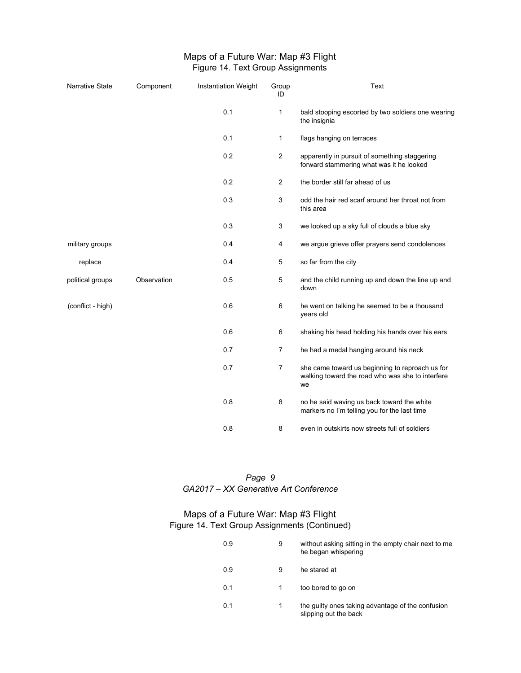## Maps of a Future War: Map #3 Flight Figure 14. Text Group Assignments

| Narrative State   | Component   | <b>Instantiation Weight</b> | Group<br>ID    | Text                                                                                                      |
|-------------------|-------------|-----------------------------|----------------|-----------------------------------------------------------------------------------------------------------|
|                   |             | 0.1                         | $\mathbf{1}$   | bald stooping escorted by two soldiers one wearing<br>the insignia                                        |
|                   |             | 0.1                         | 1              | flags hanging on terraces                                                                                 |
|                   |             | 0.2                         | $\overline{2}$ | apparently in pursuit of something staggering<br>forward stammering what was it he looked                 |
|                   |             | 0.2                         | $\overline{2}$ | the border still far ahead of us                                                                          |
|                   |             | 0.3                         | 3              | odd the hair red scarf around her throat not from<br>this area                                            |
|                   |             | 0.3                         | 3              | we looked up a sky full of clouds a blue sky                                                              |
| military groups   |             | 0.4                         | 4              | we argue grieve offer prayers send condolences                                                            |
| replace           |             | 0.4                         | 5              | so far from the city                                                                                      |
| political groups  | Observation | 0.5                         | 5              | and the child running up and down the line up and<br>down                                                 |
| (conflict - high) |             | 0.6                         | 6              | he went on talking he seemed to be a thousand<br>years old                                                |
|                   |             | 0.6                         | 6              | shaking his head holding his hands over his ears                                                          |
|                   |             | 0.7                         | $\overline{7}$ | he had a medal hanging around his neck                                                                    |
|                   |             | 0.7                         | $\overline{7}$ | she came toward us beginning to reproach us for<br>walking toward the road who was she to interfere<br>we |
|                   |             | 0.8                         | 8              | no he said waving us back toward the white<br>markers no I'm telling you for the last time                |
|                   |             | 0.8                         | 8              | even in outskirts now streets full of soldiers                                                            |

*Page 9 GA2017 – XX Generative Art Conference*

## Maps of a Future War: Map #3 Flight Figure 14. Text Group Assignments (Continued)

| 0.9 | 9 | without asking sitting in the empty chair next to me<br>he began whispering |
|-----|---|-----------------------------------------------------------------------------|
| 0.9 | 9 | he stared at                                                                |
| 0.1 |   | too bored to go on                                                          |
| 0.1 | 1 | the quilty ones taking advantage of the confusion<br>slipping out the back  |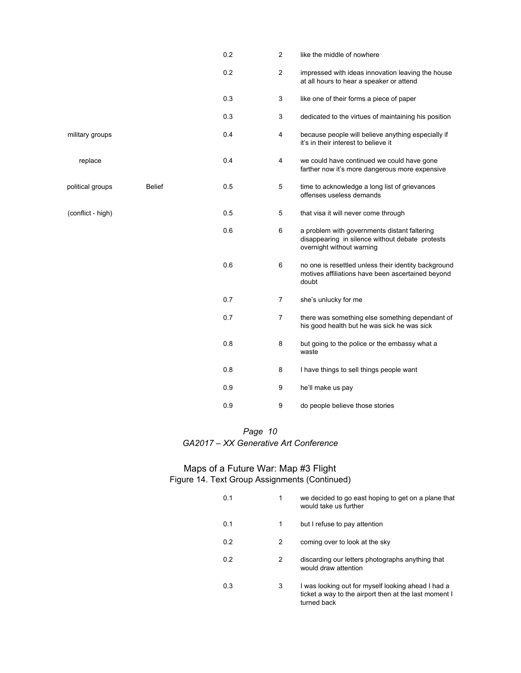|                   |               | 0.2 | $\overline{2}$ | like the middle of nowhere                                                                                                   |
|-------------------|---------------|-----|----------------|------------------------------------------------------------------------------------------------------------------------------|
|                   |               | 0.2 | $\overline{2}$ | impressed with ideas innovation leaving the house<br>at all hours to hear a speaker or attend                                |
|                   |               | 0.3 | 3              | like one of their forms a piece of paper                                                                                     |
|                   |               | 0.3 | 3              | dedicated to the virtues of maintaining his position                                                                         |
| military groups   |               | 0.4 | 4              | because people will believe anything especially if<br>it's in their interest to believe it                                   |
| replace           |               | 0.4 | 4              | we could have continued we could have gone<br>farther now it's more dangerous more expensive                                 |
| political groups  | <b>Belief</b> | 0.5 | 5              | time to acknowledge a long list of grievances<br>offenses useless demands                                                    |
| (conflict - high) |               | 0.5 | 5              | that visa it will never come through                                                                                         |
|                   |               | 0.6 | 6              | a problem with governments distant faltering<br>disappearing in silence without debate protests<br>overnight without warning |
|                   |               | 0.6 | 6              | no one is resettled unless their identity background<br>motives affiliations have been ascertained beyond<br>doubt           |
|                   |               | 0.7 | 7              | she's unlucky for me                                                                                                         |
|                   |               | 0.7 | 7              | there was something else something dependant of<br>his good health but he was sick he was sick                               |
|                   |               | 0.8 | 8              | but going to the police or the embassy what a<br>waste                                                                       |
|                   |               | 0.8 | 8              | I have things to sell things people want                                                                                     |
|                   |               | 0.9 | 9              | he'll make us pay                                                                                                            |
|                   |               | 0.9 | 9              | do people believe those stories                                                                                              |

#### Maps of a Future War: Map #3 Flight Figure 14. Text Group Assignments (Continued)

| 0.1 | 1 | we decided to go east hoping to get on a plane that<br>would take us further                                               |
|-----|---|----------------------------------------------------------------------------------------------------------------------------|
| 0.1 | 1 | but I refuse to pay attention                                                                                              |
| 0.2 | 2 | coming over to look at the sky                                                                                             |
| 0.2 | 2 | discarding our letters photographs anything that<br>would draw attention                                                   |
| 0.3 | 3 | I was looking out for myself looking ahead I had a<br>ticket a way to the airport then at the last moment I<br>turned back |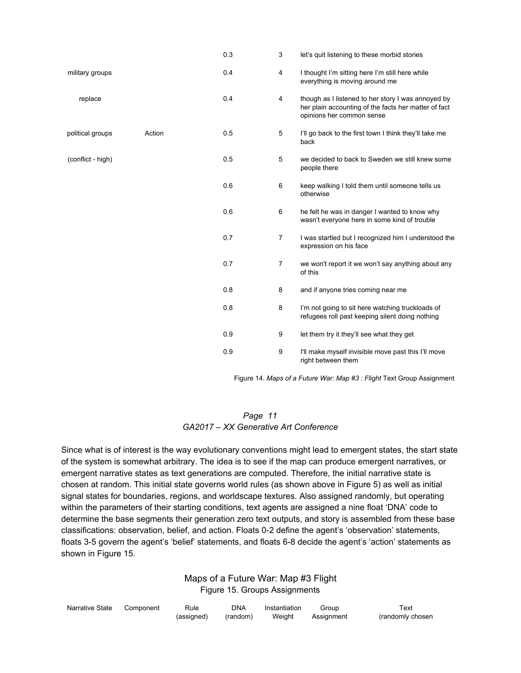|                   |        | 0.3 | 3              | let's quit listening to these morbid stories                                                                                            |
|-------------------|--------|-----|----------------|-----------------------------------------------------------------------------------------------------------------------------------------|
| military groups   |        | 0.4 | 4              | I thought I'm sitting here I'm still here while<br>everything is moving around me                                                       |
| replace           |        | 0.4 | 4              | though as I listened to her story I was annoyed by<br>her plain accounting of the facts her matter of fact<br>opinions her common sense |
| political groups  | Action | 0.5 | 5              | I'll go back to the first town I think they'll take me<br>back                                                                          |
| (conflict - high) |        | 0.5 | 5              | we decided to back to Sweden we still knew some<br>people there                                                                         |
|                   |        | 0.6 | 6              | keep walking I told them until someone tells us<br>otherwise                                                                            |
|                   |        | 0.6 | 6              | he felt he was in danger I wanted to know why<br>wasn't everyone here in some kind of trouble                                           |
|                   |        | 0.7 | $\overline{7}$ | I was startled but I recognized him I understood the<br>expression on his face                                                          |
|                   |        | 0.7 | 7              | we won't report it we won't say anything about any<br>of this                                                                           |
|                   |        | 0.8 | 8              | and if anyone tries coming near me                                                                                                      |
|                   |        | 0.8 | 8              | I'm not going to sit here watching truckloads of<br>refugees roll past keeping silent doing nothing                                     |
|                   |        | 0.9 | 9              | let them try it they'll see what they get                                                                                               |
|                   |        | 0.9 | 9              | I'll make myself invisible move past this I'll move<br>right between them                                                               |

Figure 14. *Maps of a Future War: Map #3 : Flight* Text Group Assignment

#### *Page 11 GA2017 – XX Generative Art Conference*

Since what is of interest is the way evolutionary conventions might lead to emergent states, the start state of the system is somewhat arbitrary. The idea is to see if the map can produce emergent narratives, or emergent narrative states as text generations are computed. Therefore, the initial narrative state is chosen at random. This initial state governs world rules (as shown above in Figure 5) as well as initial signal states for boundaries, regions, and worldscape textures. Also assigned randomly, but operating within the parameters of their starting conditions, text agents are assigned a nine float 'DNA' code to determine the base segments their generation zero text outputs, and story is assembled from these base classifications: observation, belief, and action. Floats 0-2 define the agent's 'observation' statements, floats 3-5 govern the agent's 'belief' statements, and floats 6-8 decide the agent's 'action' statements as shown in Figure 15.

#### Maps of a Future War: Map #3 Flight Figure 15. Groups Assignments

| Narrative State Component | Rule       | <b>DNA</b> | Instantiation | Group      | Text             |
|---------------------------|------------|------------|---------------|------------|------------------|
|                           | (assigned) | (random)   | Weight        | Assignment | (randomly chosen |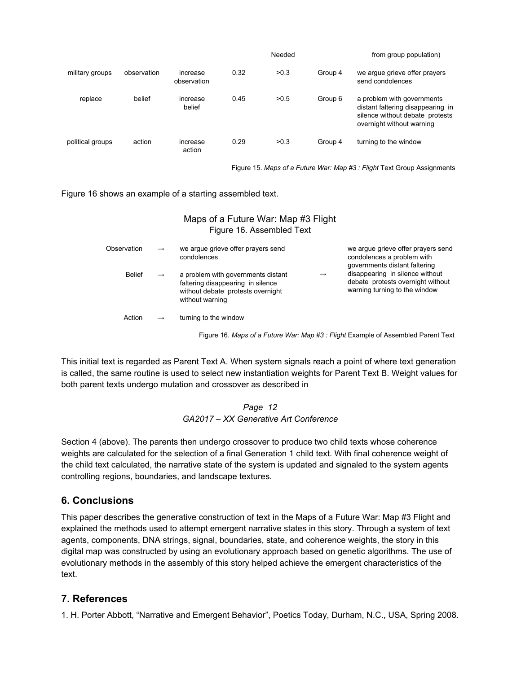|                  |             |                         |      | Needed |         | from group population)                                                                                                          |
|------------------|-------------|-------------------------|------|--------|---------|---------------------------------------------------------------------------------------------------------------------------------|
| military groups  | observation | increase<br>observation | 0.32 | >0.3   | Group 4 | we argue grieve offer prayers<br>send condolences                                                                               |
| replace          | belief      | increase<br>belief      | 0.45 | >0.5   | Group 6 | a problem with governments<br>distant faltering disappearing in<br>silence without debate protests<br>overnight without warning |
| political groups | action      | increase<br>action      | 0.29 | >0.3   | Group 4 | turning to the window                                                                                                           |

Figure 15. *Maps of a Future War: Map #3 : Flight* Text Group Assignments

Figure 16 shows an example of a starting assembled text.

### Maps of a Future War: Map #3 Flight Figure 16. Assembled Text

| Observation   | $\rightarrow$ | we arque grieve offer prayers send<br>condolences                                                                               |               | we arque grieve offer prayers send<br>condolences a problem with<br>governments distant faltering     |
|---------------|---------------|---------------------------------------------------------------------------------------------------------------------------------|---------------|-------------------------------------------------------------------------------------------------------|
| <b>Belief</b> | $\rightarrow$ | a problem with governments distant<br>faltering disappearing in silence<br>without debate protests overnight<br>without warning | $\rightarrow$ | disappearing in silence without<br>debate protests overnight without<br>warning turning to the window |
| Action        | $\rightarrow$ | turning to the window                                                                                                           |               |                                                                                                       |

Figure 16. *Maps of a Future War: Map #3 : Flight* Example of Assembled Parent Text

This initial text is regarded as Parent Text A. When system signals reach a point of where text generation is called, the same routine is used to select new instantiation weights for Parent Text B. Weight values for both parent texts undergo mutation and crossover as described in

#### *Page 12 GA2017 – XX Generative Art Conference*

Section 4 (above). The parents then undergo crossover to produce two child texts whose coherence weights are calculated for the selection of a final Generation 1 child text. With final coherence weight of the child text calculated, the narrative state of the system is updated and signaled to the system agents controlling regions, boundaries, and landscape textures.

## **6. Conclusions**

This paper describes the generative construction of text in the Maps of a Future War: Map #3 Flight and explained the methods used to attempt emergent narrative states in this story. Through a system of text agents, components, DNA strings, signal, boundaries, state, and coherence weights, the story in this digital map was constructed by using an evolutionary approach based on genetic algorithms. The use of evolutionary methods in the assembly of this story helped achieve the emergent characteristics of the text.

## **7. References**

1. H. Porter Abbott, "Narrative and Emergent Behavior", Poetics Today, Durham, N.C., USA, Spring 2008.